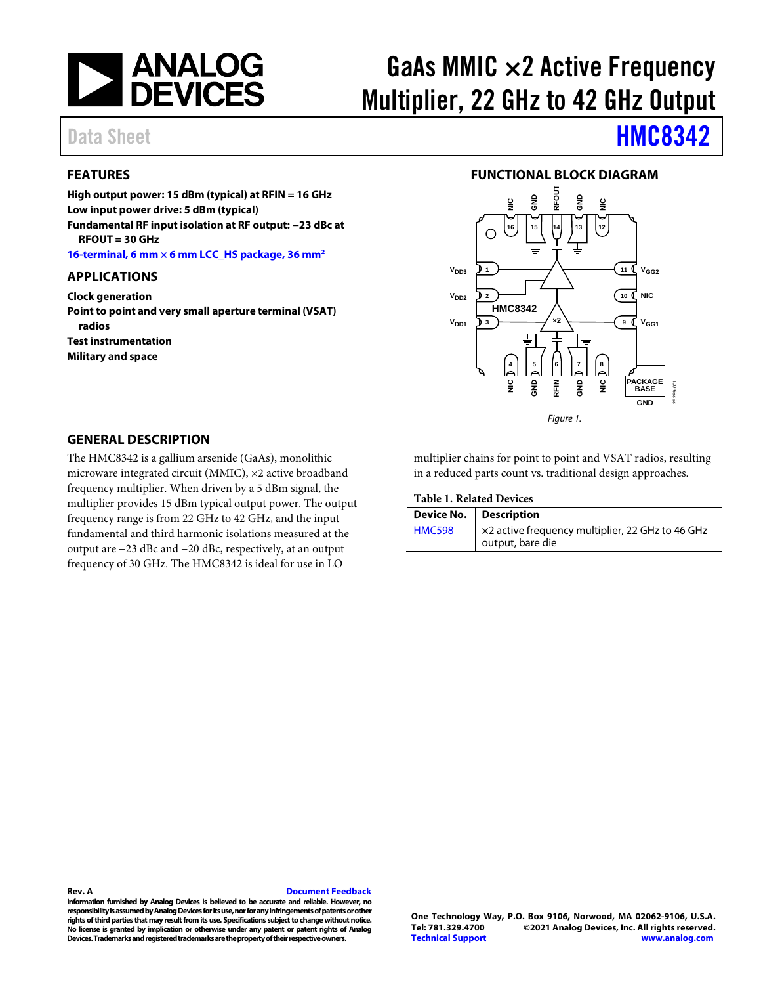

# GaAs MMIC  $\times$ 2 Active Frequency Multiplier, 22 GHz to 42 GHz Output

### <span id="page-0-0"></span>**FEATURES**

**High output power: 15 dBm (typical) at RFIN = 16 GHz Low input power drive: 5 dBm (typical) Fundamental RF input isolation at RF output: −23 dBc at RFOUT = 30 GHz**

**[16-terminal,](#page-10-0) 6 mm × 6 mm LCC\_HS package, 36 mm2**

#### <span id="page-0-1"></span>**APPLICATIONS**

**Clock generation Point to point and very small aperture terminal (VSAT) radios Test instrumentation Military and space**

# Data Sheet **[HMC8342](https://www.analog.com/HMC8342?doc=hmc8342.pdf)**

#### **FUNCTIONAL BLOCK DIAGRAM**

<span id="page-0-2"></span>

#### <span id="page-0-3"></span>**GENERAL DESCRIPTION**

The HMC8342 is a gallium arsenide (GaAs), monolithic microware integrated circuit (MMIC), ×2 active broadband frequency multiplier. When driven by a 5 dBm signal, the multiplier provides 15 dBm typical output power. The output frequency range is from 22 GHz to 42 GHz, and the input fundamental and third harmonic isolations measured at the output are −23 dBc and −20 dBc, respectively, at an output frequency of 30 GHz. The HMC8342 is ideal for use in LO

<span id="page-0-4"></span>multiplier chains for point to point and VSAT radios, resulting in a reduced parts count vs. traditional design approaches.

**Table 1. Related Devices**

|               | Device No.   Description                                             |
|---------------|----------------------------------------------------------------------|
| <b>HMC598</b> | ×2 active frequency multiplier, 22 GHz to 46 GHz<br>output, bare die |

#### **Rev. A [Document Feedback](https://form.analog.com/Form_Pages/feedback/documentfeedback.aspx?doc=HMC8342.pdf&product=HMC8342&rev=A)**

**Information furnished by Analog Devices is believed to be accurate and reliable. However, no responsibility is assumed by Analog Devices for its use, nor for any infringements of patents or other rights of third parties that may result from its use. Specifications subject to change without notice. No license is granted by implication or otherwise under any patent or patent rights of Analog Devices. Trademarksand registered trademarks are the property of their respective owners.**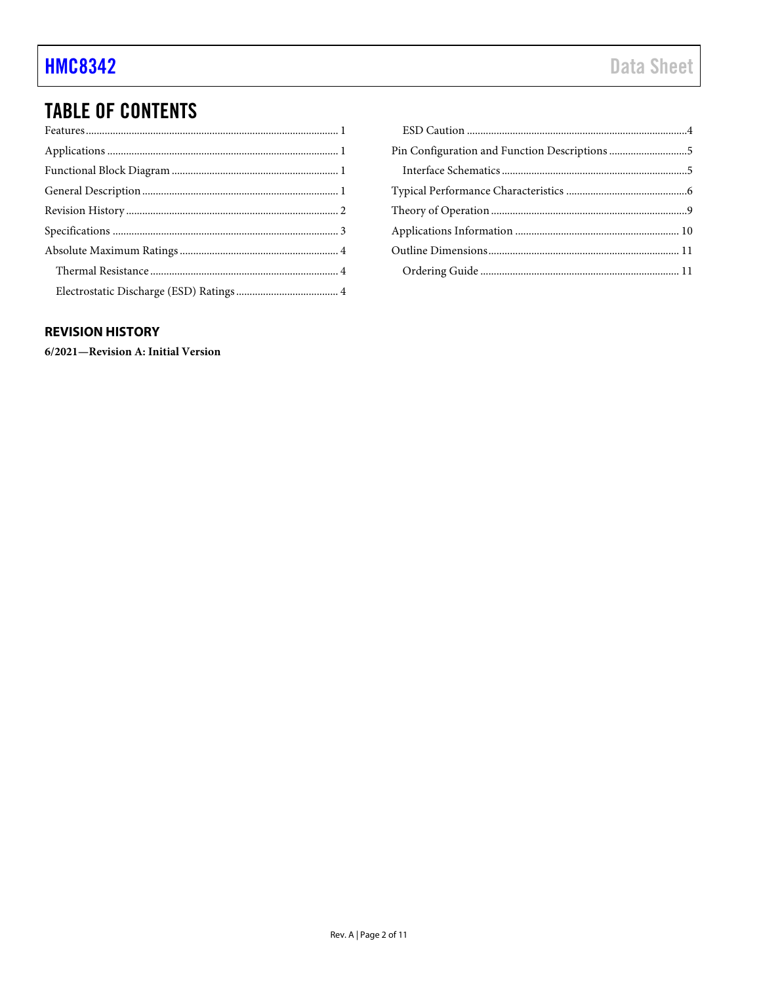# **TABLE OF CONTENTS**

### <span id="page-1-0"></span>**REVISION HISTORY**

6/2021-Revision A: Initial Version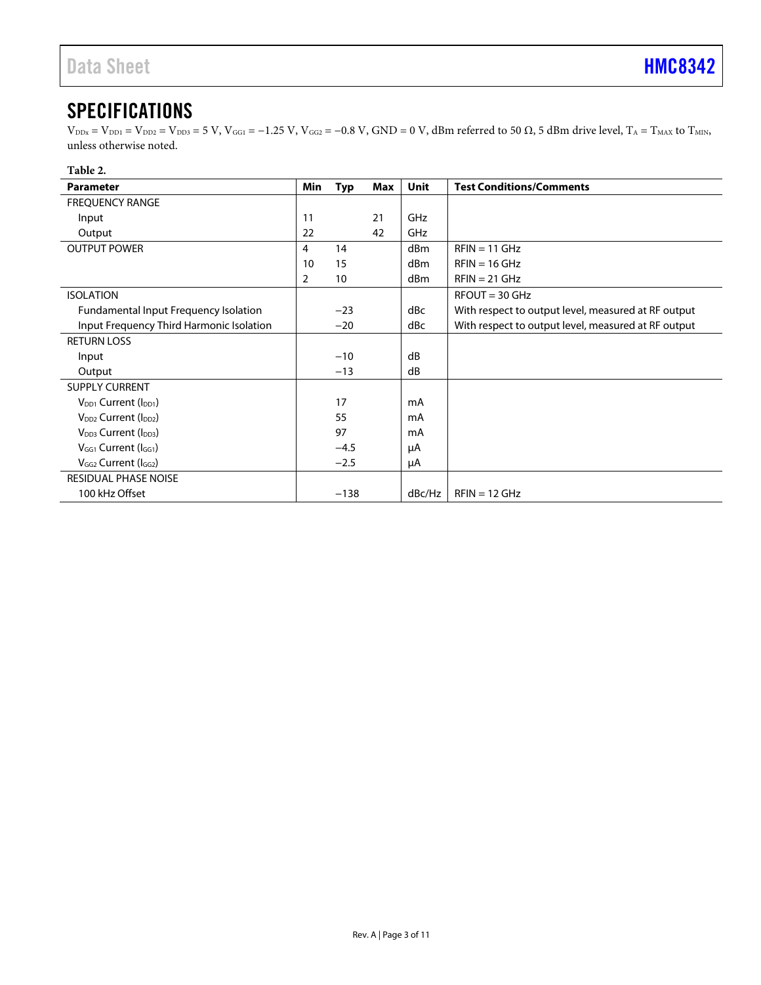# <span id="page-2-0"></span>**SPECIFICATIONS**

 $V_{\text{DDx}} = V_{\text{DD1}} = V_{\text{DD2}} = V_{\text{DD3}} = 5 \text{ V}$ ,  $V_{\text{GG1}} = -1.25 \text{ V}$ ,  $V_{\text{GG2}} = -0.8 \text{ V}$ ,  $\text{GND} = 0 \text{ V}$ ,  $\text{dBm}$  referred to 50  $\Omega$ , 5 dBm drive level,  $T_A = T_{\text{MAX}}$  to  $T_{\text{MIN}}$ , unless otherwise noted.

#### **Table 2.**

| <b>Parameter</b>                             | Min            | <b>Typ</b> | Max | <b>Unit</b>     | <b>Test Conditions/Comments</b>                     |
|----------------------------------------------|----------------|------------|-----|-----------------|-----------------------------------------------------|
| <b>FREQUENCY RANGE</b>                       |                |            |     |                 |                                                     |
| Input                                        | 11             |            | 21  | GHz             |                                                     |
| Output                                       | 22             |            | 42  | GHz             |                                                     |
| <b>OUTPUT POWER</b>                          | 4              | 14         |     | d <sub>Bm</sub> | $RFIN = 11$ GHz                                     |
|                                              | 10             | 15         |     | dBm             | $RFIN = 16$ GHz                                     |
|                                              | $\overline{2}$ | 10         |     | dBm             | $RFIN = 21$ GHz                                     |
| <b>ISOLATION</b>                             |                |            |     |                 | $RFOUT = 30$ GHz                                    |
| <b>Fundamental Input Frequency Isolation</b> |                | $-23$      |     | dBc             | With respect to output level, measured at RF output |
| Input Frequency Third Harmonic Isolation     |                | $-20$      |     | dBc             | With respect to output level, measured at RF output |
| <b>RETURN LOSS</b>                           |                |            |     |                 |                                                     |
| Input                                        |                | $-10$      |     | dB              |                                                     |
| Output                                       |                | $-13$      |     | dB              |                                                     |
| <b>SUPPLY CURRENT</b>                        |                |            |     |                 |                                                     |
| V <sub>DD1</sub> Current (I <sub>DD1</sub> ) |                | 17         |     | mA              |                                                     |
| V <sub>DD2</sub> Current (I <sub>DD2</sub> ) |                | 55         |     | mA              |                                                     |
| V <sub>DD3</sub> Current (I <sub>DD3</sub> ) |                | 97         |     | mA              |                                                     |
| $V_{GG1}$ Current ( $I_{GG1}$ )              |                | $-4.5$     |     | μA              |                                                     |
| $V_{GG2}$ Current ( $I_{GG2}$ )              |                | $-2.5$     |     | μA              |                                                     |
| <b>RESIDUAL PHASE NOISE</b>                  |                |            |     |                 |                                                     |
| 100 kHz Offset                               |                | $-138$     |     | dBc/Hz          | $RFIN = 12 GHz$                                     |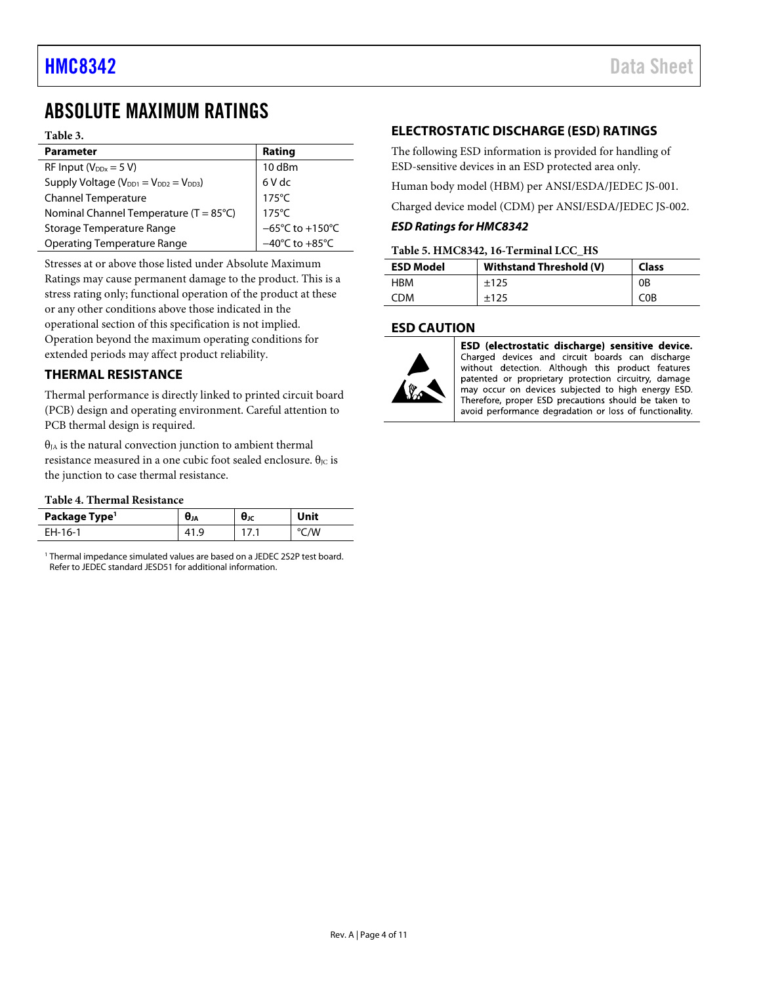## <span id="page-3-0"></span>ABSOLUTE MAXIMUM RATINGS

#### **Table 3.**

| <b>Parameter</b>                                  | Rating                               |
|---------------------------------------------------|--------------------------------------|
| RF Input ( $V_{DDx} = 5 V$ )                      | 10 dBm                               |
| Supply Voltage ( $V_{DD1} = V_{DD2} = V_{DD3}$ )  | 6 V dc                               |
| <b>Channel Temperature</b>                        | $175^{\circ}$ C                      |
| Nominal Channel Temperature ( $T = 85^{\circ}C$ ) | $175^{\circ}$ C                      |
| Storage Temperature Range                         | $-65^{\circ}$ C to +150 $^{\circ}$ C |
| <b>Operating Temperature Range</b>                | $-40^{\circ}$ C to $+85^{\circ}$ C   |
|                                                   |                                      |

Stresses at or above those listed under Absolute Maximum Ratings may cause permanent damage to the product. This is a stress rating only; functional operation of the product at these or any other conditions above those indicated in the operational section of this specification is not implied. Operation beyond the maximum operating conditions for extended periods may affect product reliability.

#### <span id="page-3-1"></span>**THERMAL RESISTANCE**

Thermal performance is directly linked to printed circuit board (PCB) design and operating environment. Careful attention to PCB thermal design is required.

 $\theta_{JA}$  is the natural convection junction to ambient thermal resistance measured in a one cubic foot sealed enclosure.  $θ$ <sub>IC</sub> is the junction to case thermal resistance.

#### **Table 4. Thermal Resistance**

| Package Type <sup>1</sup> | UJA | UJC | Unit |
|---------------------------|-----|-----|------|
| FH-16-1                   | ч   |     | /W   |

<sup>1</sup> Thermal impedance simulated values are based on a JEDEC 2S2P test board. Refer to JEDEC standard JESD51 for additional information.

### <span id="page-3-2"></span>**ELECTROSTATIC DISCHARGE (ESD) RATINGS**

The following ESD information is provided for handling of ESD-sensitive devices in an ESD protected area only.

Human body model (HBM) per ANSI/ESDA/JEDEC JS-001.

Charged device model (CDM) per ANSI/ESDA/JEDEC JS-002.

#### *ESD Ratings for HMC8342*

#### **Table 5. HMC8342, 16-Terminal LCC\_HS**

| <b>ESD Model</b> | Withstand Threshold (V) | <b>Class</b>     |
|------------------|-------------------------|------------------|
| HBM              | ±125                    | 0B               |
| CDM              | ±125                    | C <sub>0</sub> B |

#### <span id="page-3-3"></span>**ESD CAUTION**



ESD (electrostatic discharge) sensitive device. Charged devices and circuit boards can discharge without detection. Although this product features patented or proprietary protection circuitry, damage may occur on devices subjected to high energy ESD. Therefore, proper ESD precautions should be taken to avoid performance degradation or loss of functionality.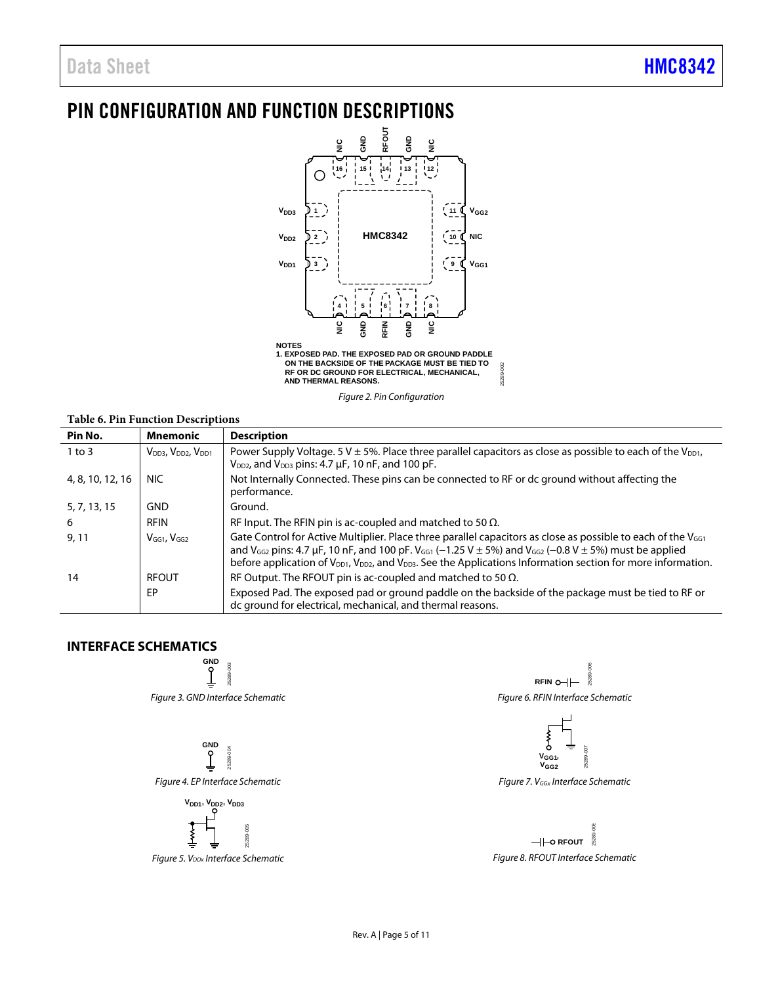# <span id="page-4-0"></span>PIN CONFIGURATION AND FUNCTION DESCRIPTIONS



*Figure 2. Pin Configuration* 

#### **Table 6. Pin Function Descriptions**

| Pin No.          | Mnemonic                                               | <b>Description</b>                                                                                                                                                                                                                                                                                                                                                                                                                |
|------------------|--------------------------------------------------------|-----------------------------------------------------------------------------------------------------------------------------------------------------------------------------------------------------------------------------------------------------------------------------------------------------------------------------------------------------------------------------------------------------------------------------------|
| $1$ to $3$       | V <sub>DD3</sub> , V <sub>DD2</sub> , V <sub>DD1</sub> | Power Supply Voltage. 5 V $\pm$ 5%. Place three parallel capacitors as close as possible to each of the V <sub>DD1</sub> ,<br>$V_{DD2}$ , and $V_{DD3}$ pins: 4.7 $\mu$ F, 10 nF, and 100 pF.                                                                                                                                                                                                                                     |
| 4, 8, 10, 12, 16 | NIC.                                                   | Not Internally Connected. These pins can be connected to RF or dc ground without affecting the<br>performance.                                                                                                                                                                                                                                                                                                                    |
| 5, 7, 13, 15     | <b>GND</b>                                             | Ground.                                                                                                                                                                                                                                                                                                                                                                                                                           |
| 6                | <b>RFIN</b>                                            | RF Input. The RFIN pin is ac-coupled and matched to 50 $\Omega$ .                                                                                                                                                                                                                                                                                                                                                                 |
| 9, 11            | $VGG1$ , $VGG2$                                        | Gate Control for Active Multiplier. Place three parallel capacitors as close as possible to each of the V <sub>GG1</sub><br>and V <sub>GG2</sub> pins: 4.7 µF, 10 nF, and 100 pF. V <sub>GG1</sub> (-1.25 V $\pm$ 5%) and V <sub>GG2</sub> (-0.8 V $\pm$ 5%) must be applied<br>before application of V <sub>DD1</sub> , V <sub>DD2</sub> , and V <sub>DD3</sub> . See the Applications Information section for more information. |
| 14               | RFOUT                                                  | RF Output. The RFOUT pin is ac-coupled and matched to 50 $\Omega$ .                                                                                                                                                                                                                                                                                                                                                               |
|                  | <b>FP</b>                                              | Exposed Pad. The exposed pad or ground paddle on the backside of the package must be tied to RF or<br>dc ground for electrical, mechanical, and thermal reasons.                                                                                                                                                                                                                                                                  |

### <span id="page-4-1"></span>**INTERFACE SCHEMATICS**





*Figure 4. EP Interface Schematic*

 $V<sub>DD1</sub>, V<sub>DD2</sub>, V<sub>DD3</sub>$ 



*Figure 5. V<sub>DDx</sub>* Interface Schematic

 $RFIN$   $\leftarrow$   $\frac{8}{3}$ 25289-006 *Figure 6. RFIN Interface Schematic*



*Figure 7. VGGx Interface Schematic*

**HHO RFOUT** 25289-008 *Figure 8. RFOUT Interface Schematic*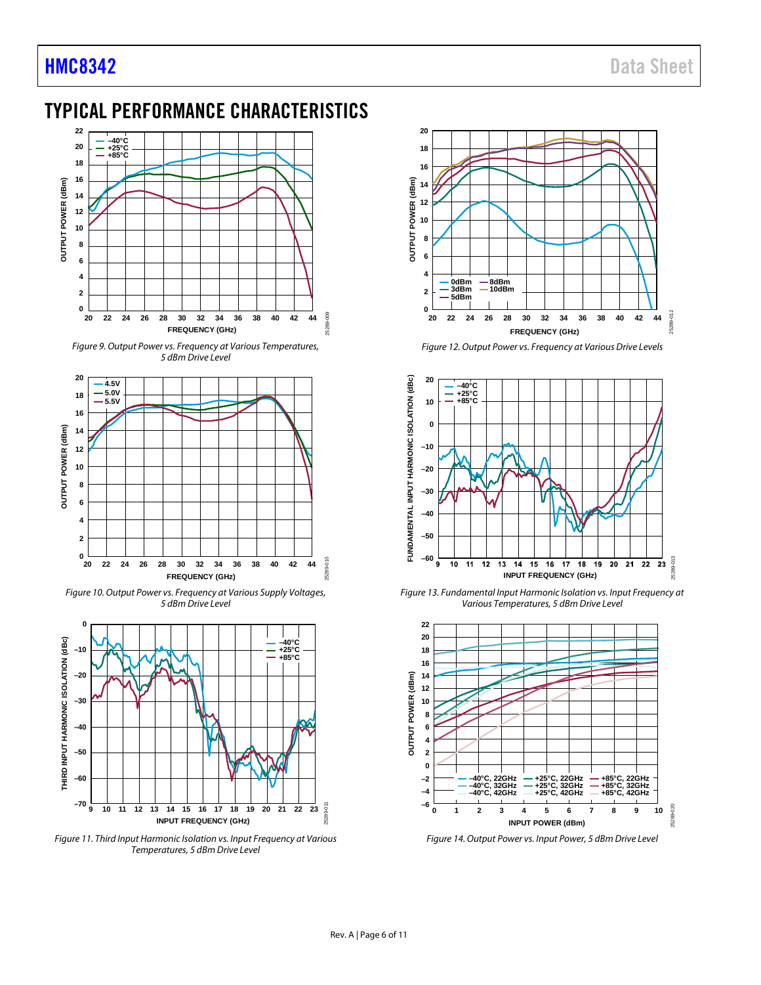# <span id="page-5-0"></span>TYPICAL PERFORMANCE CHARACTERISTICS



*Figure 9. Output Power vs. Frequency at Various Temperatures, 5 dBm Drive Level*



*Figure 10. Output Power vs. Frequency at Various Supply Voltages, 5 dBm Drive Level*



*Figure 11. Third Input Harmonic Isolation vs. Input Frequency at Various Temperatures, 5 dBm Drive Level*



*Figure 12. Output Power vs. Frequency at Various Drive Levels*



*Figure 13. Fundamental Input Harmonic Isolation vs. Input Frequency at Various Temperatures, 5 dBm Drive Level*



*Figure 14. Output Power vs. Input Power, 5 dBm Drive Level*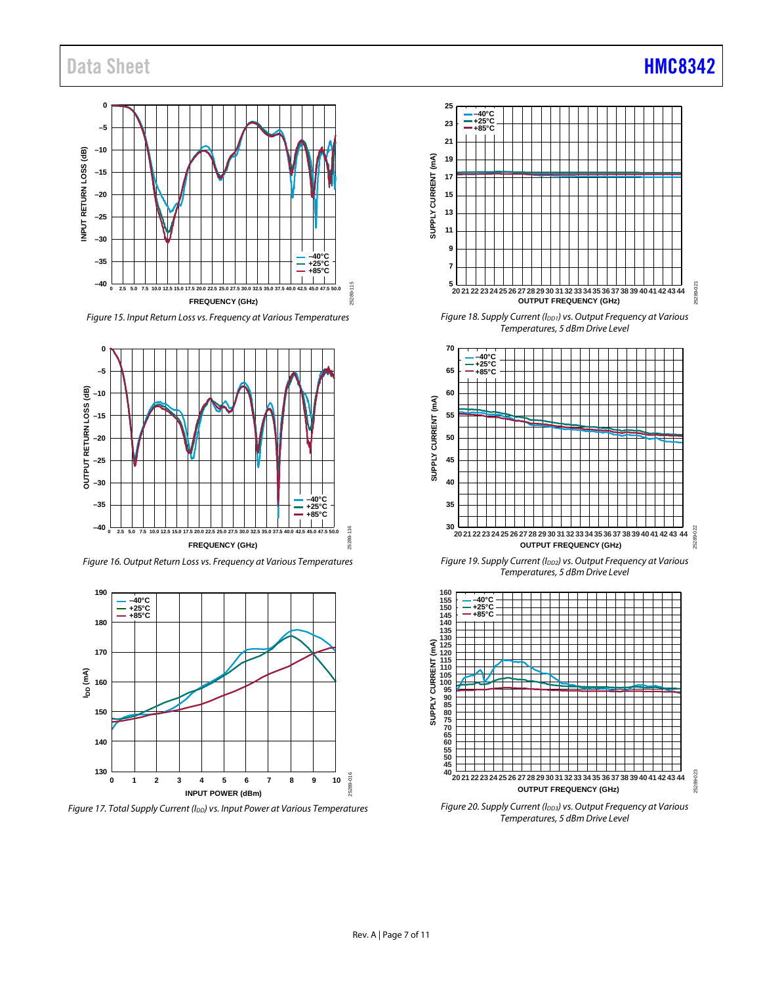# Data Sheet **[HMC8342](https://www.analog.com/HMC8342?doc=hmc8342.pdf)**



*Figure 15. Input Return Loss vs. Frequency at Various Temperatures*



*Figure 16. Output Return Loss vs. Frequency at Various Temperatures*



*Figure 17. Total Supply Current (IDD) vs. Input Power at Various Temperatures*



*Figure 18. Supply Current (I<sub>DD1</sub>) vs. Output Frequency at Various Temperatures, 5 dBm Drive Level*



**Figure 19. Supply Current (IDD2) vs. Output Frequency at Various** *Temperatures, 5 dBm Drive Level*



*Figure 20. Supply Current (IDD3) vs. Output Frequency at Various Temperatures, 5 dBm Drive Level*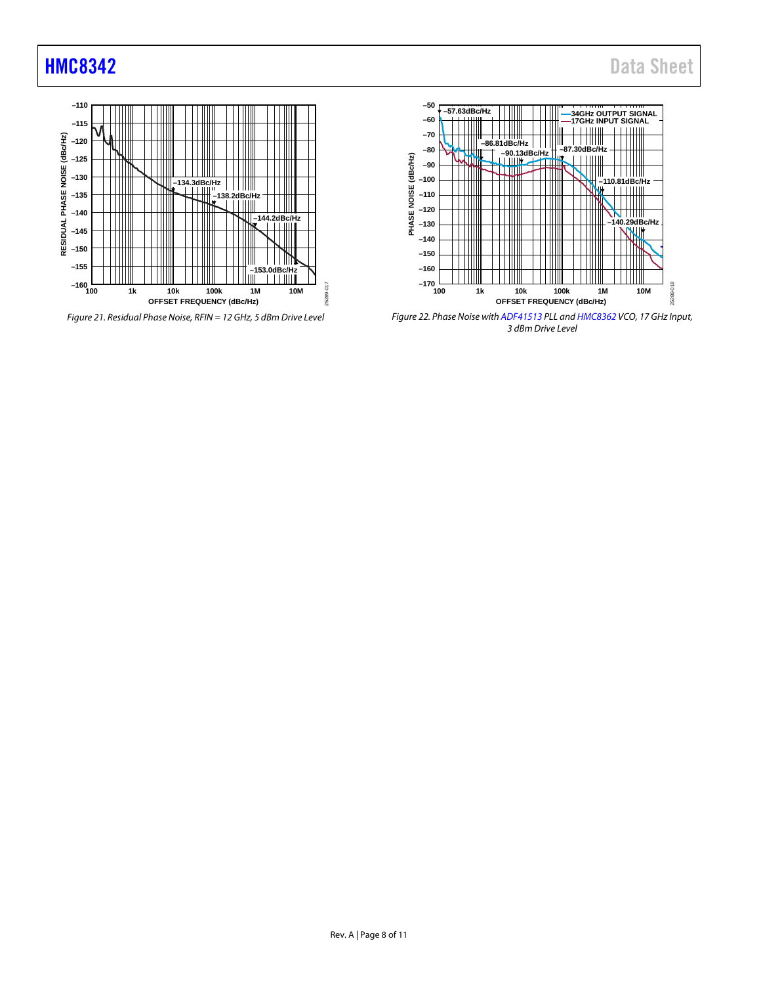

*Figure 21. Residual Phase Noise, RFIN = 12 GHz, 5 dBm Drive Level*



*Figure 22. Phase Noise with [ADF41513](https://www.analog.com/ADF41513?doc=hmc8342.pdf) PLL an[d HMC8362](https://www.analog.com/HMC8362?doc=hmc8342.pdf) VCO, 17 GHz Input, 3 dBm Drive Level*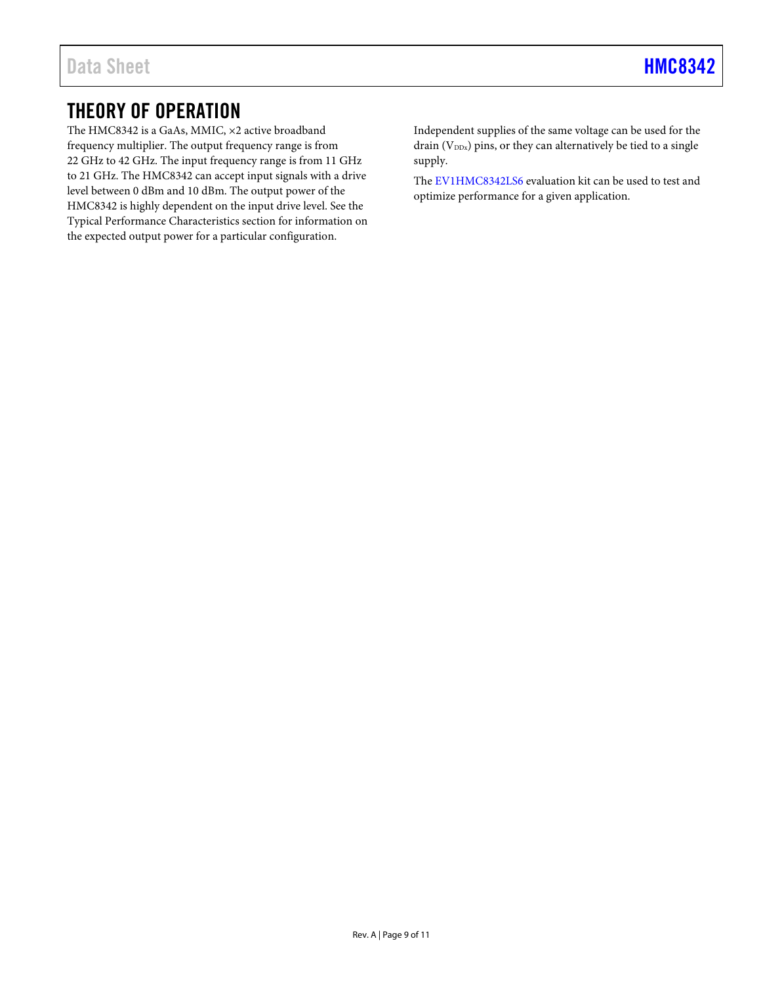# <span id="page-8-0"></span>THEORY OF OPERATION

The HMC8342 is a GaAs, MMIC, ×2 active broadband frequency multiplier. The output frequency range is from 22 GHz to 42 GHz. The input frequency range is from 11 GHz to 21 GHz. The HMC8342 can accept input signals with a drive level between 0 dBm and 10 dBm. The output power of the HMC8342 is highly dependent on the input drive level. See the [Typical Performance Characteristics](#page-5-0) section for information on the expected output power for a particular configuration.

Independent supplies of the same voltage can be used for the drain  $(V_{DDx})$  pins, or they can alternatively be tied to a single supply.

The [EV1HMC8342LS6](https://www.analog.com/eval-HMC8342?doc=hmc8342.pdf) evaluation kit can be used to test and optimize performance for a given application.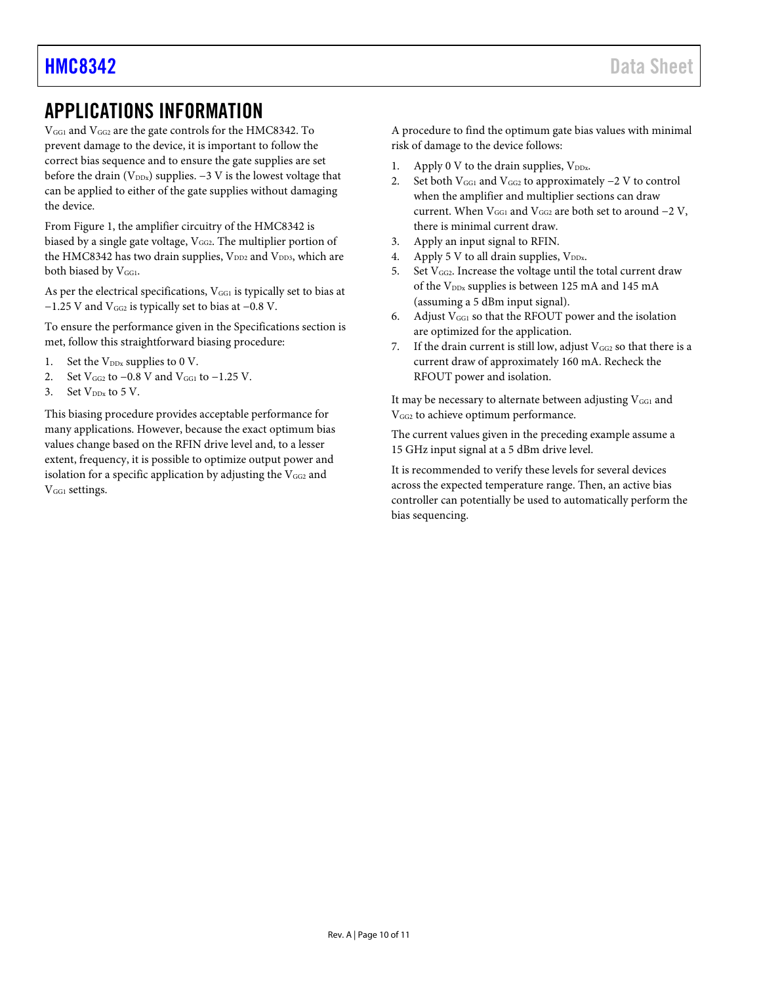## <span id="page-9-0"></span>APPLICATIONS INFORMATION

VGG1 and VGG2 are the gate controls for the HMC8342. To prevent damage to the device, it is important to follow the correct bias sequence and to ensure the gate supplies are set before the drain ( $V_{DDx}$ ) supplies.  $-3$  V is the lowest voltage that can be applied to either of the gate supplies without damaging the device.

Fro[m Figure 1,](#page-0-4) the amplifier circuitry of the HMC8342 is biased by a single gate voltage,  $V_{GG2}$ . The multiplier portion of the HMC8342 has two drain supplies,  $V_{DD2}$  and  $V_{DD3}$ , which are both biased by V<sub>GG1</sub>.

As per the electrical specifications, V<sub>GG1</sub> is typically set to bias at −1.25 V and VGG2 is typically set to bias at −0.8 V.

To ensure the performance given in the [Specifications](#page-2-0) section is met, follow this straightforward biasing procedure:

- 1. Set the  $V_{DDx}$  supplies to 0 V.
- 2. Set V<sub>GG2</sub> to −0.8 V and V<sub>GG1</sub> to −1.25 V.
- 3. Set  $V_{DDx}$  to 5 V.

This biasing procedure provides acceptable performance for many applications. However, because the exact optimum bias values change based on the RFIN drive level and, to a lesser extent, frequency, it is possible to optimize output power and isolation for a specific application by adjusting the V<sub>GG2</sub> and V<sub>GG1</sub> settings.

A procedure to find the optimum gate bias values with minimal risk of damage to the device follows:

- 1. Apply 0 V to the drain supplies,  $V_{\text{DDx}}$ .
- 2. Set both  $V_{GG1}$  and  $V_{GG2}$  to approximately  $-2$  V to control when the amplifier and multiplier sections can draw current. When  $V_{GG1}$  and  $V_{GG2}$  are both set to around  $-2$  V, there is minimal current draw.
- 3. Apply an input signal to RFIN.
- 4. Apply 5 V to all drain supplies,  $V_{DDx}$ .
- 5. Set  $V_{GG2}$ . Increase the voltage until the total current draw of the V<sub>DDx</sub> supplies is between 125 mA and 145 mA (assuming a 5 dBm input signal).
- 6. Adjust  $V_{GG1}$  so that the RFOUT power and the isolation are optimized for the application.
- 7. If the drain current is still low, adjust  $V_{GG2}$  so that there is a current draw of approximately 160 mA. Recheck the RFOUT power and isolation.

It may be necessary to alternate between adjusting  $V_{GG1}$  and VGG2 to achieve optimum performance.

The current values given in the preceding example assume a 15 GHz input signal at a 5 dBm drive level.

It is recommended to verify these levels for several devices across the expected temperature range. Then, an active bias controller can potentially be used to automatically perform the bias sequencing.